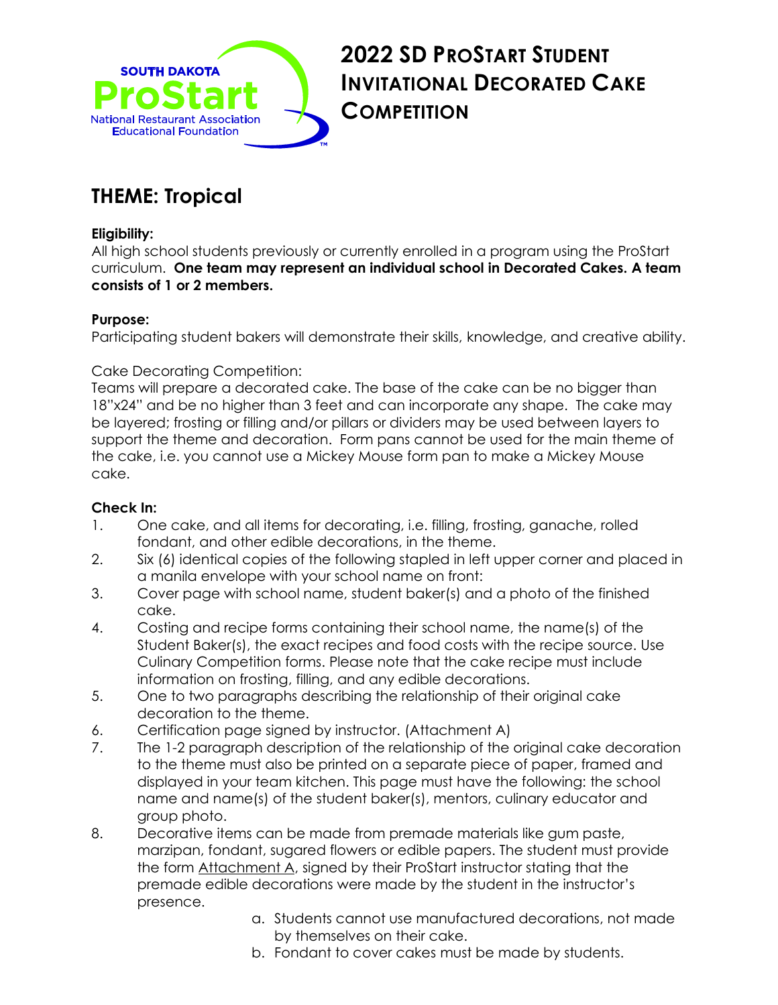

## **2022 SD PROSTART STUDENT INVITATIONAL DECORATED CAKE COMPETITION**

## **THEME: Tropical**

#### **Eligibility:**

All high school students previously or currently enrolled in a program using the ProStart curriculum. **One team may represent an individual school in Decorated Cakes. A team consists of 1 or 2 members.** 

#### **Purpose:**

Participating student bakers will demonstrate their skills, knowledge, and creative ability.

#### Cake Decorating Competition:

Teams will prepare a decorated cake. The base of the cake can be no bigger than 18"x24" and be no higher than 3 feet and can incorporate any shape. The cake may be layered; frosting or filling and/or pillars or dividers may be used between layers to support the theme and decoration. Form pans cannot be used for the main theme of the cake, i.e. you cannot use a Mickey Mouse form pan to make a Mickey Mouse cake.

#### **Check In:**

- 1. One cake, and all items for decorating, i.e. filling, frosting, ganache, rolled fondant, and other edible decorations, in the theme.
- 2. Six (6) identical copies of the following stapled in left upper corner and placed in a manila envelope with your school name on front:
- 3. Cover page with school name, student baker(s) and a photo of the finished cake.
- 4. Costing and recipe forms containing their school name, the name(s) of the Student Baker(s), the exact recipes and food costs with the recipe source. Use Culinary Competition forms. Please note that the cake recipe must include information on frosting, filling, and any edible decorations.
- 5. One to two paragraphs describing the relationship of their original cake decoration to the theme.
- 6. Certification page signed by instructor. (Attachment A)
- 7. The 1-2 paragraph description of the relationship of the original cake decoration to the theme must also be printed on a separate piece of paper, framed and displayed in your team kitchen. This page must have the following: the school name and name(s) of the student baker(s), mentors, culinary educator and group photo.
- 8. Decorative items can be made from premade materials like gum paste, marzipan, fondant, sugared flowers or edible papers. The student must provide the form **Attachment A**, signed by their ProStart instructor stating that the premade edible decorations were made by the student in the instructor's presence.
	- a. Students cannot use manufactured decorations, not made by themselves on their cake.
	- b. Fondant to cover cakes must be made by students.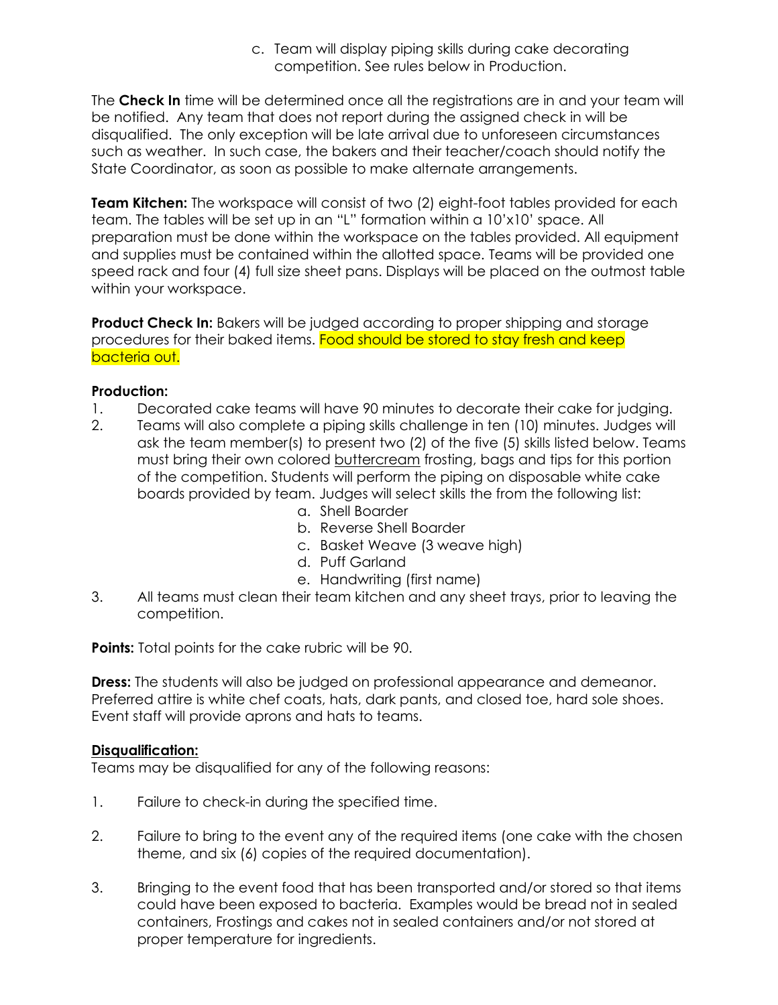c. Team will display piping skills during cake decorating competition. See rules below in Production.

The **Check In** time will be determined once all the registrations are in and your team will be notified. Any team that does not report during the assigned check in will be disqualified. The only exception will be late arrival due to unforeseen circumstances such as weather. In such case, the bakers and their teacher/coach should notify the State Coordinator, as soon as possible to make alternate arrangements.

**Team Kitchen:** The workspace will consist of two (2) eight-foot tables provided for each team. The tables will be set up in an "L" formation within a 10'x10' space. All preparation must be done within the workspace on the tables provided. All equipment and supplies must be contained within the allotted space. Teams will be provided one speed rack and four (4) full size sheet pans. Displays will be placed on the outmost table within your workspace.

**Product Check In:** Bakers will be judged according to proper shipping and storage procedures for their baked items. Food should be stored to stay fresh and keep bacteria out.

#### **Production:**

- 1. Decorated cake teams will have 90 minutes to decorate their cake for judging.
- 2. Teams will also complete a piping skills challenge in ten (10) minutes. Judges will ask the team member(s) to present two (2) of the five (5) skills listed below. Teams must bring their own colored buttercream frosting, bags and tips for this portion of the competition. Students will perform the piping on disposable white cake boards provided by team. Judges will select skills the from the following list:
	- a. Shell Boarder
	- b. Reverse Shell Boarder
	- c. Basket Weave (3 weave high)
	- d. Puff Garland
	- e. Handwriting (first name)
- 3. All teams must clean their team kitchen and any sheet trays, prior to leaving the competition.

**Points:** Total points for the cake rubric will be 90.

**Dress:** The students will also be judged on professional appearance and demeanor. Preferred attire is white chef coats, hats, dark pants, and closed toe, hard sole shoes. Event staff will provide aprons and hats to teams.

#### **Disqualification:**

Teams may be disqualified for any of the following reasons:

- 1. Failure to check-in during the specified time.
- 2. Failure to bring to the event any of the required items (one cake with the chosen theme, and six (6) copies of the required documentation).
- 3. Bringing to the event food that has been transported and/or stored so that items could have been exposed to bacteria. Examples would be bread not in sealed containers, Frostings and cakes not in sealed containers and/or not stored at proper temperature for ingredients.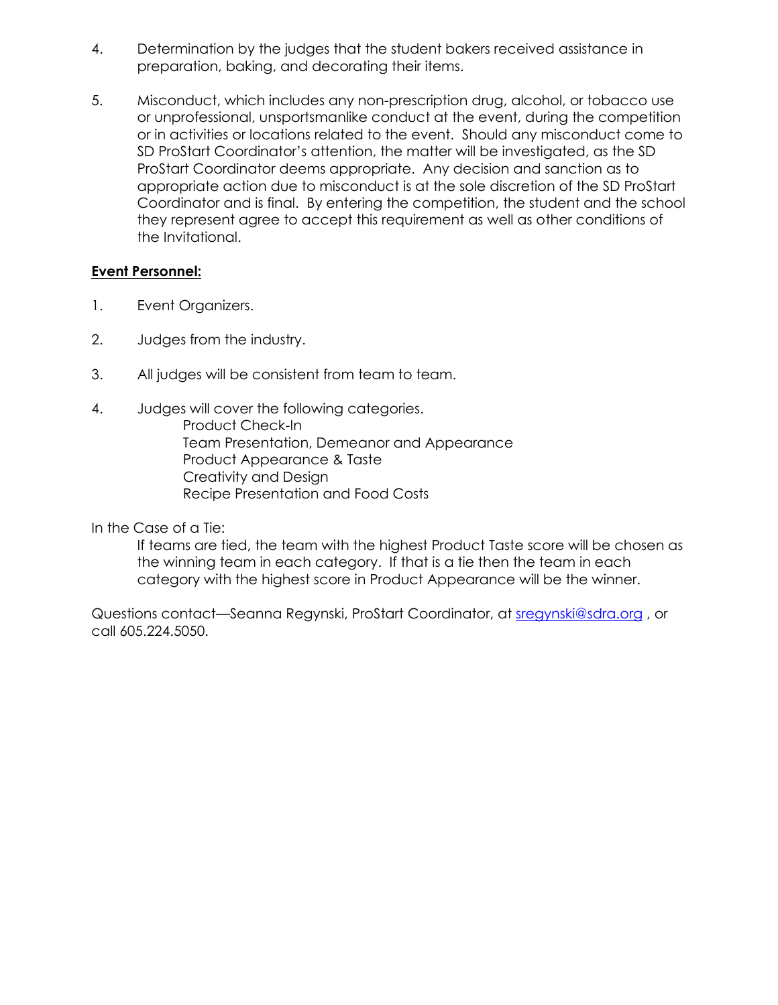- 4. Determination by the judges that the student bakers received assistance in preparation, baking, and decorating their items.
- 5. Misconduct, which includes any non-prescription drug, alcohol, or tobacco use or unprofessional, unsportsmanlike conduct at the event, during the competition or in activities or locations related to the event. Should any misconduct come to SD ProStart Coordinator's attention, the matter will be investigated, as the SD ProStart Coordinator deems appropriate. Any decision and sanction as to appropriate action due to misconduct is at the sole discretion of the SD ProStart Coordinator and is final. By entering the competition, the student and the school they represent agree to accept this requirement as well as other conditions of the Invitational.

#### **Event Personnel:**

- 1. Event Organizers.
- 2. Judges from the industry.
- 3. All judges will be consistent from team to team.
- 4. Judges will cover the following categories. Product Check-In Team Presentation, Demeanor and Appearance Product Appearance & Taste Creativity and Design Recipe Presentation and Food Costs

In the Case of a Tie:

If teams are tied, the team with the highest Product Taste score will be chosen as the winning team in each category. If that is a tie then the team in each category with the highest score in Product Appearance will be the winner.

Questions contact—Seanna Regynski, ProStart Coordinator, at [sregynski@sdra.org](mailto:sregynski@sdra.org) , or call 605.224.5050.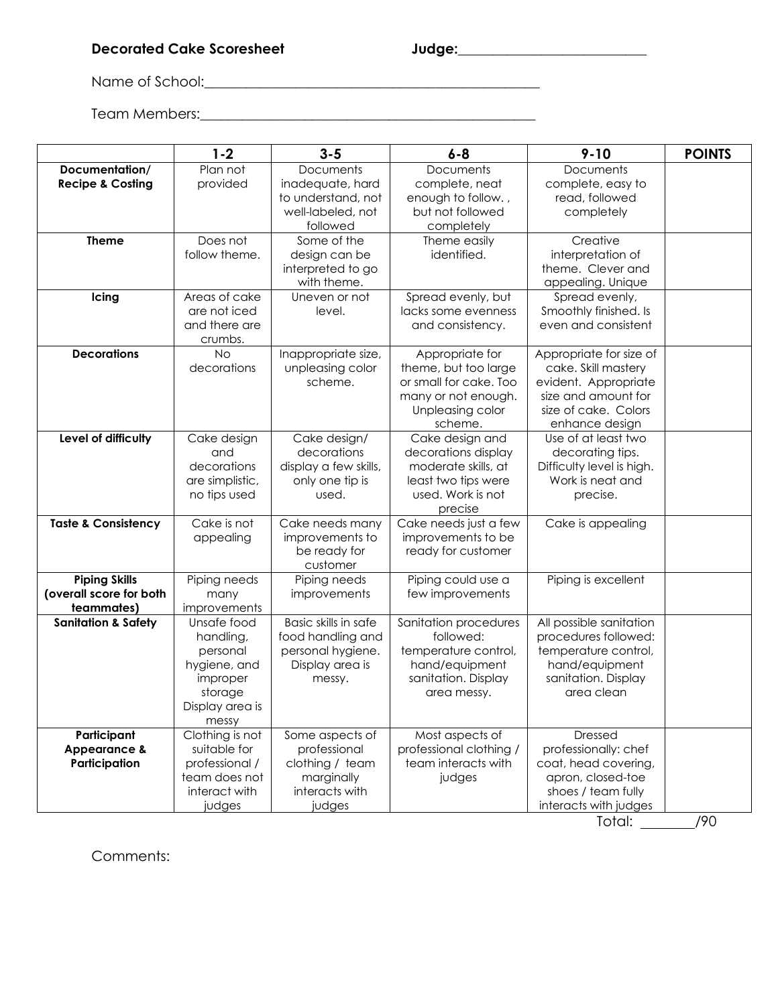### **Decorated Cake Scoresheet Judge:\_\_\_\_\_\_\_\_\_\_\_\_\_\_\_\_\_\_\_\_\_\_\_\_\_\_\_**

Name of School:\_\_\_\_\_\_\_\_\_\_\_\_\_\_\_\_\_\_\_\_\_\_\_\_\_\_\_\_\_\_\_\_\_\_\_\_\_\_\_\_\_\_\_\_\_\_\_\_

Team Members:\_\_\_\_\_\_\_\_\_\_\_\_\_\_\_\_\_\_\_\_\_\_\_\_\_\_\_\_\_\_\_\_\_\_\_\_\_\_\_\_\_\_\_\_\_\_\_\_

|                                | $1 - 2$            | $3 - 5$                     | $6 - 8$                                    | $9 - 10$                                      | <b>POINTS</b> |
|--------------------------------|--------------------|-----------------------------|--------------------------------------------|-----------------------------------------------|---------------|
| Documentation/                 | Plan not           | Documents                   | Documents                                  | <b>Documents</b>                              |               |
| <b>Recipe &amp; Costing</b>    | provided           | inadequate, hard            | complete, neat                             | complete, easy to                             |               |
|                                |                    | to understand, not          | enough to follow.,                         | read, followed                                |               |
|                                |                    | well-labeled, not           | but not followed                           | completely                                    |               |
|                                |                    | followed                    | completely                                 |                                               |               |
| <b>Theme</b>                   | Does not           | Some of the                 | Theme easily                               | Creative                                      |               |
|                                | follow theme.      | design can be               | identified.                                | interpretation of                             |               |
|                                |                    | interpreted to go           |                                            | theme. Clever and                             |               |
|                                |                    | with theme.                 |                                            | appealing. Unique                             |               |
| Icing                          | Areas of cake      | Uneven or not               | Spread evenly, but                         | Spread evenly,                                |               |
|                                | are not iced       | level.                      | lacks some evenness                        | Smoothly finished. Is                         |               |
|                                | and there are      |                             | and consistency.                           | even and consistent                           |               |
|                                | crumbs.            |                             |                                            |                                               |               |
| <b>Decorations</b>             | No                 | Inappropriate size,         | Appropriate for                            | Appropriate for size of                       |               |
|                                | decorations        | unpleasing color            | theme, but too large                       | cake. Skill mastery                           |               |
|                                |                    | scheme.                     | or small for cake. Too                     | evident. Appropriate                          |               |
|                                |                    |                             | many or not enough.                        | size and amount for                           |               |
|                                |                    |                             | Unpleasing color                           | size of cake. Colors                          |               |
|                                |                    |                             | scheme.                                    | enhance design<br>Use of at least two         |               |
| Level of difficulty            | Cake design        | Cake design/<br>decorations | Cake design and                            |                                               |               |
|                                | and<br>decorations | display a few skills,       | decorations display<br>moderate skills, at | decorating tips.<br>Difficulty level is high. |               |
|                                | are simplistic,    |                             | least two tips were                        | Work is neat and                              |               |
|                                | no tips used       | only one tip is<br>used.    | used. Work is not                          |                                               |               |
|                                |                    |                             |                                            | precise.                                      |               |
| <b>Taste &amp; Consistency</b> | Cake is not        | Cake needs many             | precise<br>Cake needs just a few           | Cake is appealing                             |               |
|                                | appealing          | improvements to             | improvements to be                         |                                               |               |
|                                |                    | be ready for                | ready for customer                         |                                               |               |
|                                |                    | customer                    |                                            |                                               |               |
| <b>Piping Skills</b>           | Piping needs       | Piping needs                | Piping could use a                         | Piping is excellent                           |               |
| (overall score for both        | many               | improvements                | few improvements                           |                                               |               |
| teammates)                     | improvements       |                             |                                            |                                               |               |
| Sanitation & Safety            | Unsafe food        | Basic skills in safe        | Sanitation procedures                      | All possible sanitation                       |               |
|                                | handling,          | food handling and           | followed:                                  | procedures followed:                          |               |
|                                | personal           | personal hygiene.           | temperature control,                       | temperature control,                          |               |
|                                | hygiene, and       | Display area is             | hand/equipment                             | hand/equipment                                |               |
|                                | improper           | messy.                      | sanitation. Display                        | sanitation. Display                           |               |
|                                | storage            |                             | area messy.                                | area clean                                    |               |
|                                | Display area is    |                             |                                            |                                               |               |
|                                | messy              |                             |                                            |                                               |               |
| Participant                    | Clothing is not    | Some aspects of             | Most aspects of                            | <b>Dressed</b>                                |               |
| <b>Appearance &amp;</b>        | suitable for       | professional                | professional clothing /                    | professionally: chef                          |               |
| Participation                  | professional /     | clothing / team             | team interacts with                        | coat, head covering,                          |               |
|                                | team does not      | marginally                  | judges                                     | apron, closed-toe                             |               |
|                                | interact with      | interacts with              |                                            | shoes / team fully                            |               |
|                                | judges             | judges                      |                                            | interacts with judges                         |               |
|                                |                    |                             |                                            | Total:                                        | /90           |

Comments: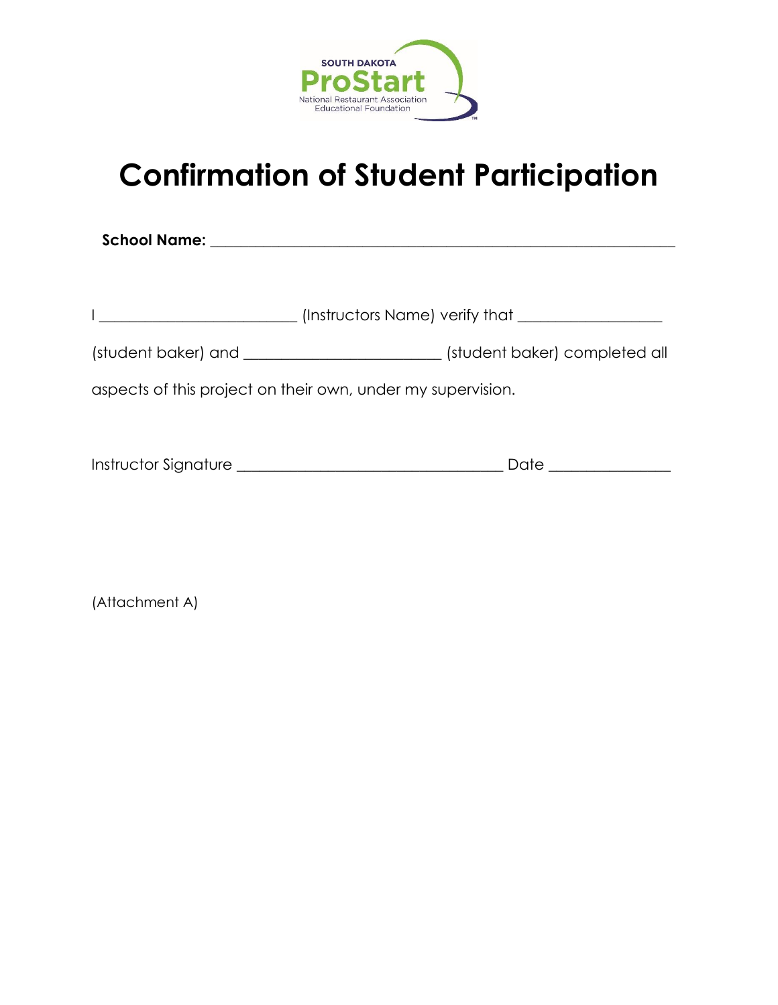

# **Confirmation of Student Participation**

**School Name: \_\_\_\_\_\_\_\_\_\_\_\_\_\_\_\_\_\_\_\_\_\_\_\_\_\_\_\_\_\_\_\_\_\_\_\_\_\_\_\_\_\_\_\_\_\_\_\_\_\_\_\_\_\_\_\_\_\_\_\_\_**

| (Instructors Name) verify that                              |
|-------------------------------------------------------------|
| (student baker) completed all                               |
| aspects of this project on their own, under my supervision. |
|                                                             |

| Instructor Signature | Jate |
|----------------------|------|
|                      |      |

(Attachment A)